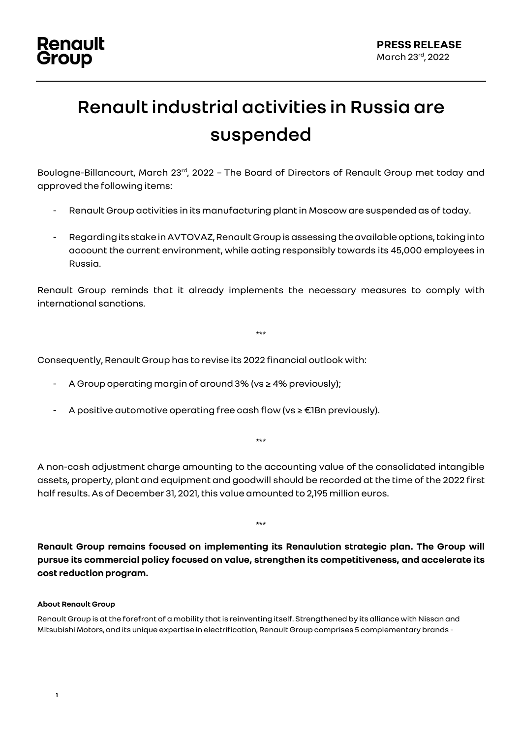## **Renault industrial activities in Russia are suspended**

Boulogne-Billancourt, March 23<sup>rd</sup>, 2022 - The Board of Directors of Renault Group met today and approved the following items:

- Renault Group activities in its manufacturing plant in Moscow are suspended as of today.
- Regarding its stake in AVTOVAZ, Renault Group is assessing the available options, taking into account the current environment, while acting responsibly towards its 45,000 employees in Russia.

Renault Group reminds that it already implements the necessary measures to comply with international sanctions.

\*\*\*

Consequently, Renault Group has to revise its 2022 financial outlook with:

- A Group operating margin of around 3% (vs ≥ 4% previously);
- A positive automotive operating free cash flow (vs ≥ €1Bn previously).

\*\*\*

A non-cash adjustment charge amounting to the accounting value of the consolidated intangible assets, property, plant and equipment and goodwill should be recorded at the time of the 2022 first half results. As of December 31, 2021, this value amounted to 2,195 million euros.

**Renault Group remains focused on implementing its Renaulution strategic plan. The Group will pursue its commercial policy focused on value, strengthen its competitiveness, and accelerate its cost reduction program.**

\*\*\*

## **About Renault Group**

Renault Group is at the forefront of a mobility that is reinventing itself. Strengthened by its alliance with Nissan and Mitsubishi Motors, and its unique expertise in electrification, Renault Group comprises 5 complementary brands -